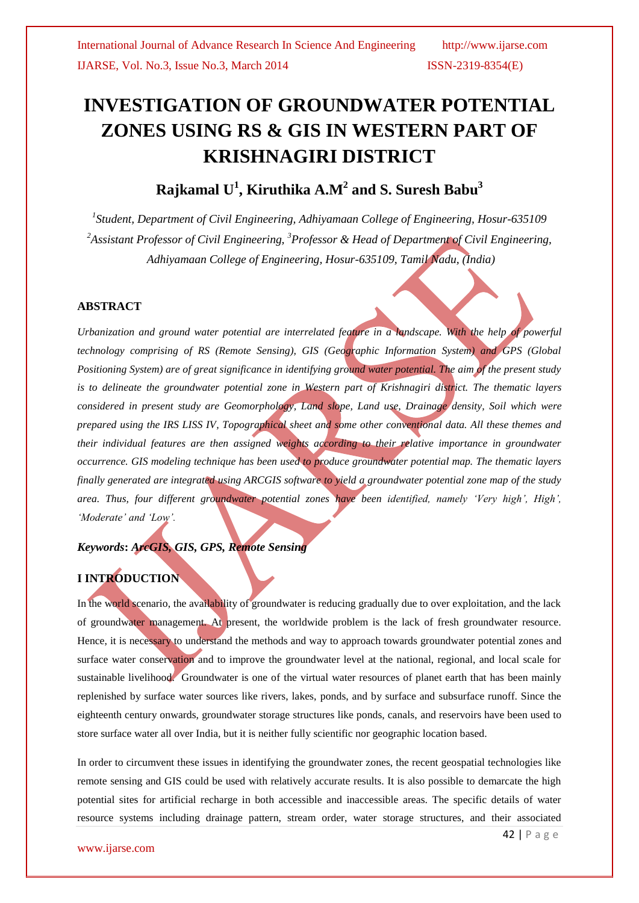# **INVESTIGATION OF GROUNDWATER POTENTIAL ZONES USING RS & GIS IN WESTERN PART OF KRISHNAGIRI DISTRICT**

## **Rajkamal U<sup>1</sup> , Kiruthika A.M<sup>2</sup> and S. Suresh Babu<sup>3</sup>**

*1 Student, Department of Civil Engineering, Adhiyamaan College of Engineering, Hosur-635109 <sup>2</sup>Assistant Professor of Civil Engineering, <sup>3</sup>Professor & Head of Department of Civil Engineering, Adhiyamaan College of Engineering, Hosur-635109, Tamil Nadu, (India)*

#### **ABSTRACT**

*Urbanization and ground water potential are interrelated feature in a landscape. With the help of powerful technology comprising of RS (Remote Sensing), GIS (Geographic Information System) and GPS (Global Positioning System) are of great significance in identifying ground water potential. The aim of the present study is to delineate the groundwater potential zone in Western part of Krishnagiri district. The thematic layers considered in present study are Geomorphology, Land slope, Land use, Drainage density, Soil which were prepared using the IRS LISS IV, Topographical sheet and some other conventional data. All these themes and their individual features are then assigned weights according to their relative importance in groundwater occurrence. GIS modeling technique has been used to produce groundwater potential map. The thematic layers finally generated are integrated using ARCGIS software to yield a groundwater potential zone map of the study area. Thus, four different groundwater potential zones have been identified, namely 'Very high', High', 'Moderate' and 'Low'.*

#### *Keywords***:** *ArcGIS, GIS, GPS, Remote Sensing*

#### **I INTRODUCTION**

In the world scenario, the availability of groundwater is reducing gradually due to over exploitation, and the lack of groundwater management. At present, the worldwide problem is the lack of fresh groundwater resource. Hence, it is necessary to understand the methods and way to approach towards groundwater potential zones and surface water conservation and to improve the groundwater level at the national, regional, and local scale for sustainable livelihood. Groundwater is one of the virtual water resources of planet earth that has been mainly replenished by surface water sources like rivers, lakes, ponds, and by surface and subsurface runoff. Since the eighteenth century onwards, groundwater storage structures like ponds, canals, and reservoirs have been used to store surface water all over India, but it is neither fully scientific nor geographic location based.

In order to circumvent these issues in identifying the groundwater zones, the recent geospatial technologies like remote sensing and GIS could be used with relatively accurate results. It is also possible to demarcate the high potential sites for artificial recharge in both accessible and inaccessible areas. The specific details of water resource systems including drainage pattern, stream order, water storage structures, and their associated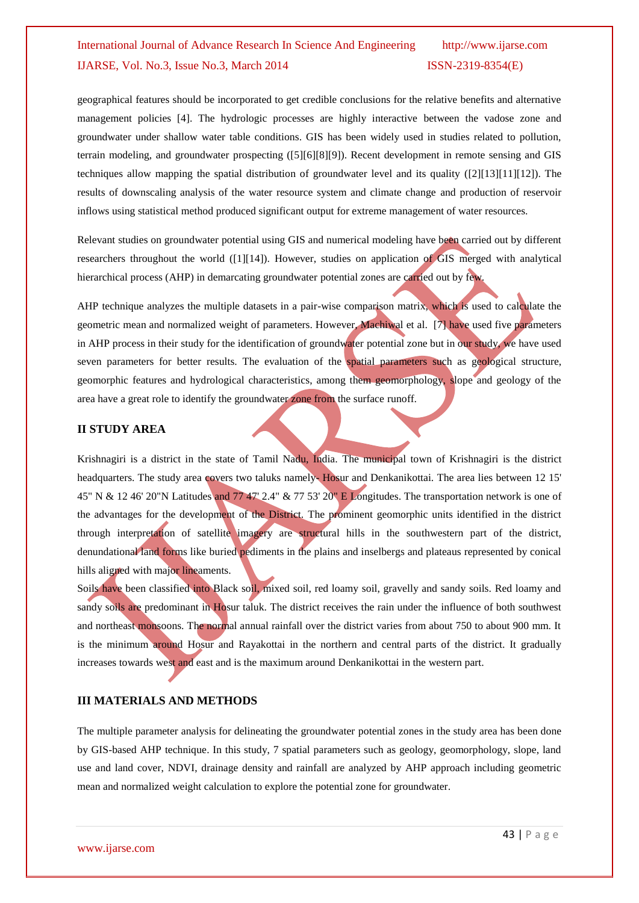geographical features should be incorporated to get credible conclusions for the relative benefits and alternative management policies [4]. The hydrologic processes are highly interactive between the vadose zone and groundwater under shallow water table conditions. GIS has been widely used in studies related to pollution, terrain modeling, and groundwater prospecting ([5][6][8][9]). Recent development in remote sensing and GIS techniques allow mapping the spatial distribution of groundwater level and its quality ([2][13][11][12]). The results of downscaling analysis of the water resource system and climate change and production of reservoir inflows using statistical method produced significant output for extreme management of water resources.

Relevant studies on groundwater potential using GIS and numerical modeling have been carried out by different researchers throughout the world ([1][14]). However, studies on application of GIS merged with analytical hierarchical process (AHP) in demarcating groundwater potential zones are carried out by few.

AHP technique analyzes the multiple datasets in a pair-wise comparison matrix, which is used to calculate the geometric mean and normalized weight of parameters. However, Machiwal et al. [7] have used five parameters in AHP process in their study for the identification of groundwater potential zone but in our study, we have used seven parameters for better results. The evaluation of the spatial parameters such as geological structure, geomorphic features and hydrological characteristics, among them geomorphology, slope and geology of the area have a great role to identify the groundwater zone from the surface runoff.

#### **II STUDY AREA**

Krishnagiri is a district in the state of [Tamil Nadu,](http://en.wikipedia.org/wiki/Tamil_Nadu) [India.](http://en.wikipedia.org/wiki/India) The municipal town of [Krishnagiri](http://en.wikipedia.org/wiki/Krishnagiri) is the district headquarters. The study area covers two taluks namely-Hosur and Denkanikottai. The area lies between 12 15' 45" N & 12 46' 20"N Latitudes and 77 47' 2.4" & 77 53' 20" E Longitudes. The transportation network is one of the advantages for the development of the District. The prominent geomorphic units identified in the district through interpretation of satellite imagery are structural hills in the southwestern part of the district, denundational land forms like buried pediments in the plains and inselbergs and plateaus represented by conical hills aligned with major lineaments.

Soils have been classified into Black soil, mixed soil, red loamy soil, gravelly and sandy soils. Red loamy and sandy soils are predominant in Hosur taluk. The district receives the rain under the influence of both southwest and northeast monsoons. The normal annual rainfall over the district varies from about 750 to about 900 mm. It is the minimum around Hosur and Rayakottai in the northern and central parts of the district. It gradually increases towards west and east and is the maximum around Denkanikottai in the western part.

#### **III MATERIALS AND METHODS**

The multiple parameter analysis for delineating the groundwater potential zones in the study area has been done by GIS-based AHP technique. In this study, 7 spatial parameters such as geology, geomorphology, slope, land use and land cover, NDVI, drainage density and rainfall are analyzed by AHP approach including geometric mean and normalized weight calculation to explore the potential zone for groundwater.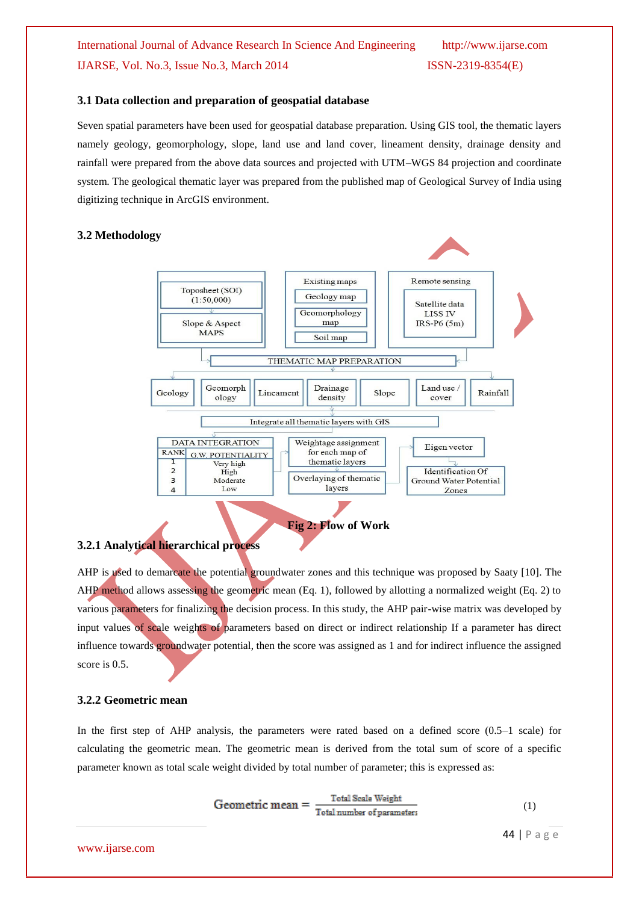#### **3.1 Data collection and preparation of geospatial database**

Seven spatial parameters have been used for geospatial database preparation. Using GIS tool, the thematic layers namely geology, geomorphology, slope, land use and land cover, lineament density, drainage density and rainfall were prepared from the above data sources and projected with UTM–WGS 84 projection and coordinate system. The geological thematic layer was prepared from the published map of Geological Survey of India using digitizing technique in ArcGIS environment.

#### **3.2 Methodology**



#### **3.2.1 Analytical hierarchical process**

AHP is used to demarcate the potential groundwater zones and this technique was proposed by Saaty [10]. The AHP method allows assessing the geometric mean (Eq. 1), followed by allotting a normalized weight (Eq. 2) to various parameters for finalizing the decision process. In this study, the AHP pair-wise matrix was developed by input values of scale weights of parameters based on direct or indirect relationship If a parameter has direct influence towards groundwater potential, then the score was assigned as 1 and for indirect influence the assigned score is 0.5.

#### **3.2.2 Geometric mean**

In the first step of AHP analysis, the parameters were rated based on a defined score (0.5–1 scale) for calculating the geometric mean. The geometric mean is derived from the total sum of score of a specific parameter known as total scale weight divided by total number of parameter; this is expressed as:

$$
Geometric mean = \frac{Total Scale Weight}{Total number of parameters}
$$
 (1)

44 | P a g e

www.ijarse.com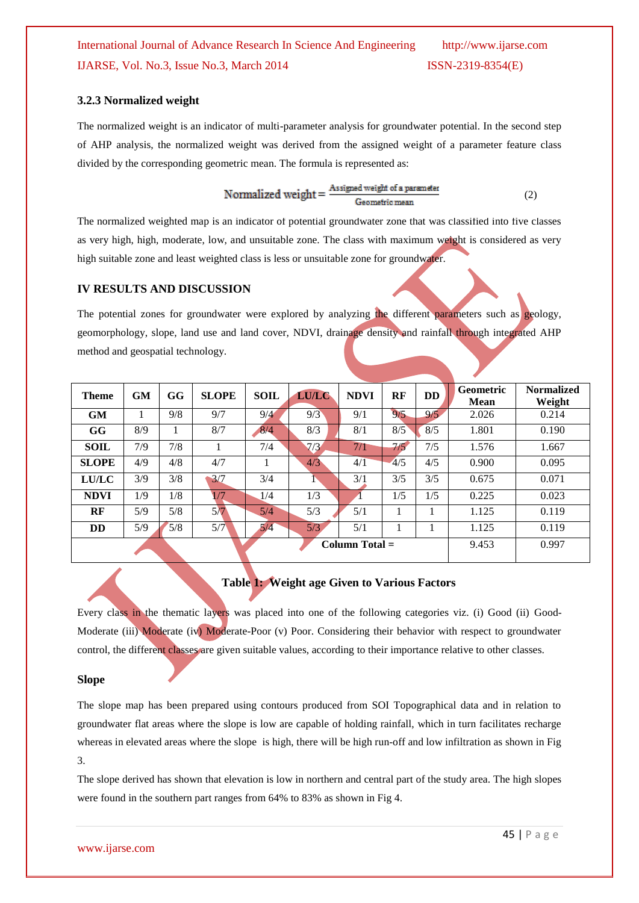#### **3.2.3 Normalized weight**

The normalized weight is an indicator of multi-parameter analysis for groundwater potential. In the second step of AHP analysis, the normalized weight was derived from the assigned weight of a parameter feature class divided by the corresponding geometric mean. The formula is represented as:

$$
Normalized weight = \frac{Assigned weight of a parameter}{Geometric mean}
$$
 (2)

The normalized weighted map is an indicator of potential groundwater zone that was classified into five classes as very high, high, moderate, low, and unsuitable zone. The class with maximum weight is considered as very high suitable zone and least weighted class is less or unsuitable zone for groundwater.

#### **IV RESULTS AND DISCUSSION**

The potential zones for groundwater were explored by analyzing the different parameters such as geology, geomorphology, slope, land use and land cover, NDVI, drainage density and rainfall through integrated AHP method and geospatial technology.

| <b>Theme</b> | <b>GM</b> | GG  | <b>SLOPE</b> | <b>SOIL</b>      | <b>LU/LC</b> | <b>NDVI</b> | RF  | <b>DD</b> | Geometric<br><b>Mean</b> | <b>Normalized</b><br>Weight |
|--------------|-----------|-----|--------------|------------------|--------------|-------------|-----|-----------|--------------------------|-----------------------------|
| <b>GM</b>    |           | 9/8 | 9/7          | 9/4              | 9/3          | 9/1         | 9/5 | 9/5       | 2.026                    | 0.214                       |
| GG           | 8/9       |     | 8/7          | 8/4              | 8/3          | 8/1         | 8/5 | 8/5       | 1.801                    | 0.190                       |
| <b>SOIL</b>  | 7/9       | 7/8 |              | 7/4              | 7/3          | 7/1         | 7/5 | 7/5       | 1.576                    | 1.667                       |
| <b>SLOPE</b> | 4/9       | 4/8 | 4/7          |                  | 4/3          | 4/1         | 4/5 | 4/5       | 0.900                    | 0.095                       |
| <b>LU/LC</b> | 3/9       | 3/8 | 3/7          | 3/4              |              | 3/1         | 3/5 | 3/5       | 0.675                    | 0.071                       |
| <b>NDVI</b>  | 1/9       | 1/8 | $\sqrt{7}$   | 1/4              | 1/3          |             | 1/5 | 1/5       | 0.225                    | 0.023                       |
| RF           | 5/9       | 5/8 | 5/7          | 5/4              | 5/3          | 5/1         |     |           | 1.125                    | 0.119                       |
| <b>DD</b>    | 5/9       | 5/8 | 5/7          | 5/4              | 5/3          | 5/1         |     |           | 1.125                    | 0.119                       |
|              |           |     |              | $Column Total =$ |              |             |     | 9.453     | 0.997                    |                             |

**Table 1: Weight age Given to Various Factors**

Every class in the thematic layers was placed into one of the following categories viz. (i) Good (ii) Good-Moderate (iii) Moderate (iv) Moderate-Poor (v) Poor. Considering their behavior with respect to groundwater control, the different classes are given suitable values, according to their importance relative to other classes.

#### **Slope**

The slope map has been prepared using contours produced from SOI Topographical data and in relation to groundwater flat areas where the slope is low are capable of holding rainfall, which in turn facilitates recharge whereas in elevated areas where the slope is high, there will be high run-off and low infiltration as shown in Fig 3.

The slope derived has shown that elevation is low in northern and central part of the study area. The high slopes were found in the southern part ranges from 64% to 83% as shown in Fig 4.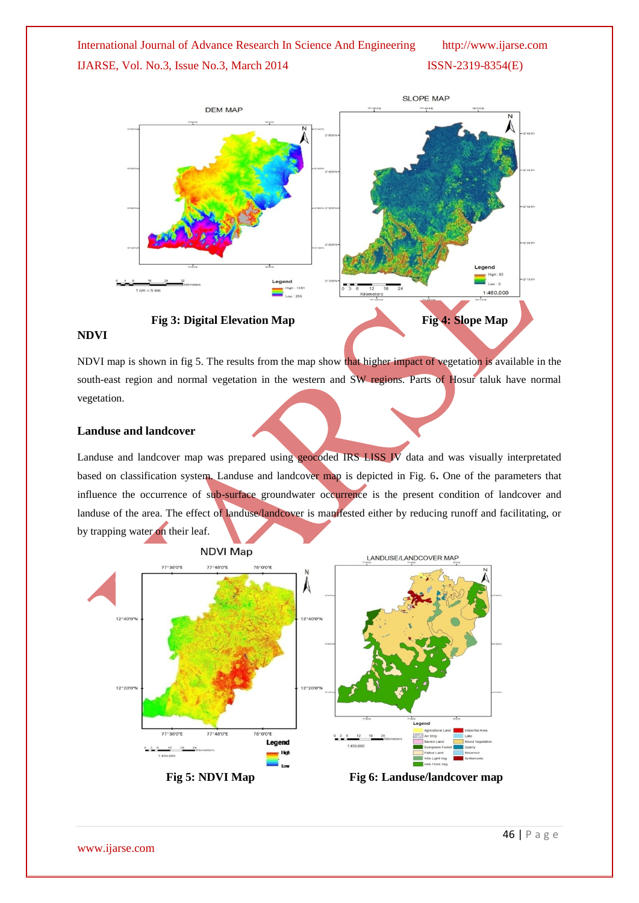

NDVI map is shown in fig 5. The results from the map show that higher impact of vegetation is available in the south-east region and normal vegetation in the western and SW regions. Parts of Hosur taluk have normal vegetation.

#### **Landuse and landcover**

Landuse and landcover map was prepared using geocoded IRS LISS IV data and was visually interpretated based on classification system. Landuse and landcover map is depicted in Fig. 6**.** One of the parameters that influence the occurrence of sub-surface groundwater occurrence is the present condition of landcover and landuse of the area. The effect of landuse/landcover is manifested either by reducing runoff and facilitating, or by trapping water on their leaf.

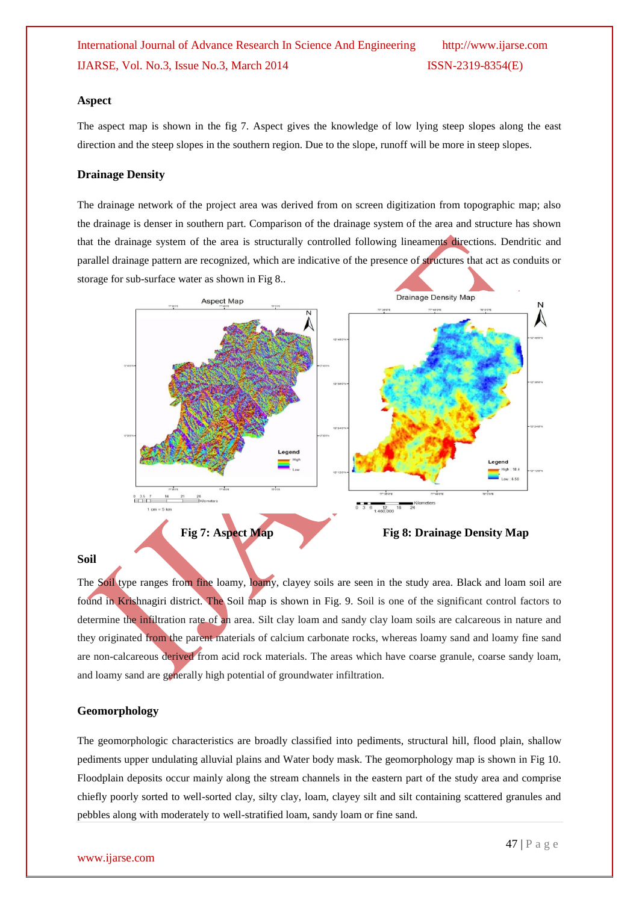#### **Aspect**

The aspect map is shown in the fig 7. Aspect gives the knowledge of low lying steep slopes along the east direction and the steep slopes in the southern region. Due to the slope, runoff will be more in steep slopes.

#### **Drainage Density**

The drainage network of the project area was derived from on screen digitization from topographic map; also the drainage is denser in southern part. Comparison of the drainage system of the area and structure has shown that the drainage system of the area is structurally controlled following lineaments directions. Dendritic and parallel drainage pattern are recognized, which are indicative of the presence of structures that act as conduits or storage for sub-surface water as shown in Fig 8..



#### **Soil**

The Soil type ranges from fine loamy, loamy, clayey soils are seen in the study area. Black and loam soil are found in Krishnagiri district. The Soil map is shown in Fig. 9. Soil is one of the significant control factors to determine the infiltration rate of an area. Silt clay loam and sandy clay loam soils are calcareous in nature and they originated from the parent materials of calcium carbonate rocks, whereas loamy sand and loamy fine sand are non-calcareous derived from acid rock materials. The areas which have coarse granule, coarse sandy loam, and loamy sand are generally high potential of groundwater infiltration.

#### **Geomorphology**

The geomorphologic characteristics are broadly classified into pediments, structural hill, flood plain, shallow pediments upper undulating alluvial plains and Water body mask. The geomorphology map is shown in Fig 10. Floodplain deposits occur mainly along the stream channels in the eastern part of the study area and comprise chiefly poorly sorted to well-sorted clay, silty clay, loam, clayey silt and silt containing scattered granules and pebbles along with moderately to well-stratified loam, sandy loam or fine sand.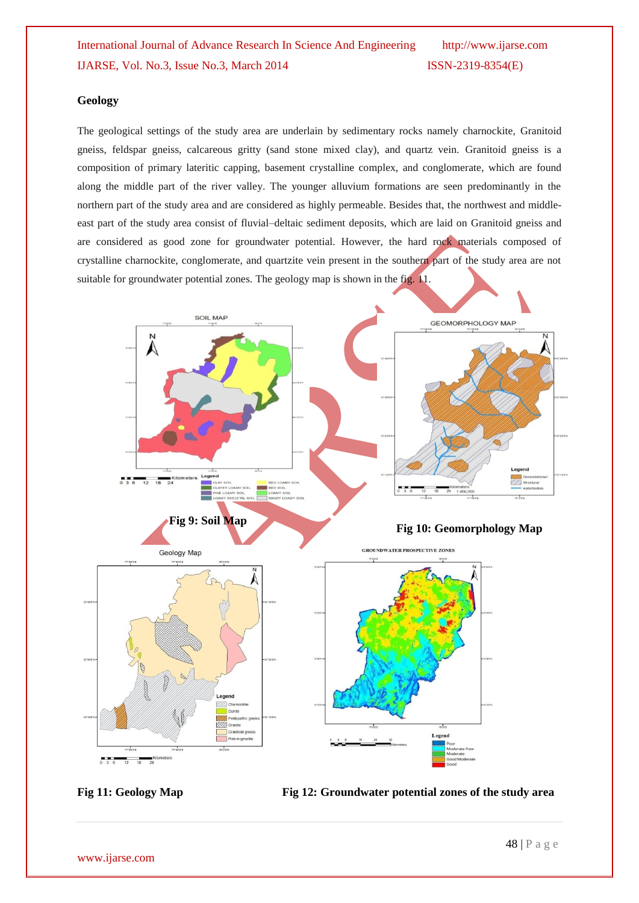#### **Geology**

The geological settings of the study area are underlain by sedimentary rocks namely charnockite, Granitoid gneiss, feldspar gneiss, calcareous gritty (sand stone mixed clay), and quartz vein. Granitoid gneiss is a composition of primary lateritic capping, basement crystalline complex, and conglomerate, which are found along the middle part of the river valley. The younger alluvium formations are seen predominantly in the northern part of the study area and are considered as highly permeable. Besides that, the northwest and middleeast part of the study area consist of fluvial–deltaic sediment deposits, which are laid on Granitoid gneiss and are considered as good zone for groundwater potential. However, the hard rock materials composed of crystalline charnockite, conglomerate, and quartzite vein present in the southern part of the study area are not suitable for groundwater potential zones. The geology map is shown in the fig. 11.



Fig 11: Geology Map Fig 12: Groundwater potential zones of the study area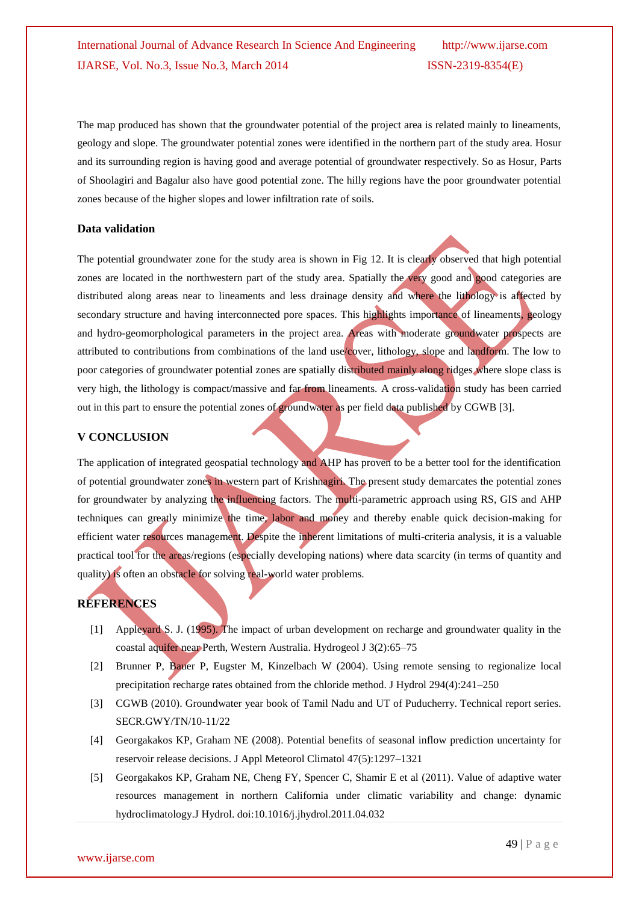The map produced has shown that the groundwater potential of the project area is related mainly to lineaments, geology and slope. The groundwater potential zones were identified in the northern part of the study area. Hosur and its surrounding region is having good and average potential of groundwater respectively. So as Hosur, Parts of Shoolagiri and Bagalur also have good potential zone. The hilly regions have the poor groundwater potential zones because of the higher slopes and lower infiltration rate of soils.

#### **Data validation**

The potential groundwater zone for the study area is shown in Fig 12. It is clearly observed that high potential zones are located in the northwestern part of the study area. Spatially the very good and good categories are distributed along areas near to lineaments and less drainage density and where the lithology is affected by secondary structure and having interconnected pore spaces. This highlights importance of lineaments, geology and hydro-geomorphological parameters in the project area. Areas with moderate groundwater prospects are attributed to contributions from combinations of the land use/cover, lithology, slope and landform. The low to poor categories of groundwater potential zones are spatially distributed mainly along ridges where slope class is very high, the lithology is compact/massive and far from lineaments. A cross-validation study has been carried out in this part to ensure the potential zones of groundwater as per field data published by CGWB [3].

#### **V CONCLUSION**

The application of integrated geospatial technology and AHP has proven to be a better tool for the identification of potential groundwater zones in western part of Krishnagiri. The present study demarcates the potential zones for groundwater by analyzing the influencing factors. The multi-parametric approach using RS, GIS and AHP techniques can greatly minimize the time, labor and money and thereby enable quick decision-making for efficient water resources management. Despite the inherent limitations of multi-criteria analysis, it is a valuable practical tool for the areas/regions (especially developing nations) where data scarcity (in terms of quantity and quality) is often an obstacle for solving real-world water problems.

#### **REFERENCES**

- [1] Appleyard S. J. (1995). The impact of urban development on recharge and groundwater quality in the coastal aquifer near Perth, Western Australia. Hydrogeol J 3(2):65–75
- [2] Brunner P, Bauer P, Eugster M, Kinzelbach W (2004). Using remote sensing to regionalize local precipitation recharge rates obtained from the chloride method. J Hydrol 294(4):241–250
- [3] CGWB (2010). Groundwater year book of Tamil Nadu and UT of Puducherry. Technical report series. SECR.GWY/TN/10-11/22
- [4] Georgakakos KP, Graham NE (2008). Potential benefits of seasonal inflow prediction uncertainty for reservoir release decisions. J Appl Meteorol Climatol 47(5):1297–1321
- [5] Georgakakos KP, Graham NE, Cheng FY, Spencer C, Shamir E et al (2011). Value of adaptive water resources management in northern California under climatic variability and change: dynamic hydroclimatology.J Hydrol. doi:10.1016/j.jhydrol.2011.04.032